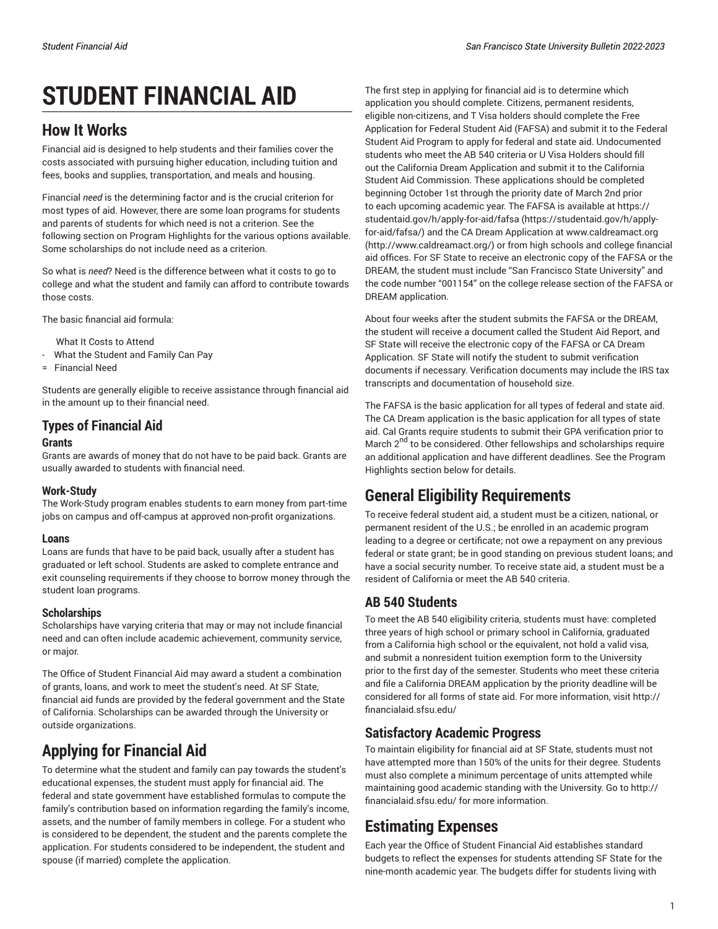# **STUDENT FINANCIAL AID**

## **How It Works**

Financial aid is designed to help students and their families cover the costs associated with pursuing higher education, including tuition and fees, books and supplies, transportation, and meals and housing.

Financial *need* is the determining factor and is the crucial criterion for most types of aid. However, there are some loan programs for students and parents of students for which need is not a criterion. See the following section on Program Highlights for the various options available. Some scholarships do not include need as a criterion.

So what is *need*? Need is the difference between what it costs to go to college and what the student and family can afford to contribute towards those costs.

The basic financial aid formula:

What It Costs to Attend

- What the Student and Family Can Pay
- = Financial Need

Students are generally eligible to receive assistance through financial aid in the amount up to their financial need.

## **Types of Financial Aid**

#### **Grants**

Grants are awards of money that do not have to be paid back. Grants are usually awarded to students with financial need.

## **Work-Study**

The Work-Study program enables students to earn money from part-time jobs on campus and off-campus at approved non-profit organizations.

#### **Loans**

Loans are funds that have to be paid back, usually after a student has graduated or left school. Students are asked to complete entrance and exit counseling requirements if they choose to borrow money through the student loan programs.

## **Scholarships**

Scholarships have varying criteria that may or may not include financial need and can often include academic achievement, community service, or major.

The Office of Student Financial Aid may award a student a combination of grants, loans, and work to meet the student's need. At SF State, financial aid funds are provided by the federal government and the State of California. Scholarships can be awarded through the University or outside organizations.

# **Applying for Financial Aid**

To determine what the student and family can pay towards the student's educational expenses, the student must apply for financial aid. The federal and state government have established formulas to compute the family's contribution based on information regarding the family's income, assets, and the number of family members in college. For a student who is considered to be dependent, the student and the parents complete the application. For students considered to be independent, the student and spouse (if married) complete the application.

The first step in applying for financial aid is to determine which application you should complete. Citizens, permanent residents, eligible non-citizens, and T Visa holders should complete the Free Application for Federal Student Aid (FAFSA) and submit it to the Federal Student Aid Program to apply for federal and state aid. Undocumented students who meet the AB 540 criteria or U Visa Holders should fill out the California Dream Application and submit it to the California Student Aid Commission. These applications should be completed beginning October 1st through the priority date of March 2nd prior to each upcoming academic year. The FAFSA is available at [https://](https://studentaid.gov/h/apply-for-aid/fafsa/) [studentaid.gov/h/apply-for-aid/fafsa](https://studentaid.gov/h/apply-for-aid/fafsa/) ([https://studentaid.gov/h/apply](https://studentaid.gov/h/apply-for-aid/fafsa/)[for-aid/fafsa/\)](https://studentaid.gov/h/apply-for-aid/fafsa/) and the CA Dream Application at [www.caldreamact.org](http://www.caldreamact.org/) [\(http://www.caldreamact.org/](http://www.caldreamact.org/)) or from high schools and college financial aid offices. For SF State to receive an electronic copy of the FAFSA or the DREAM, the student must include "San Francisco State University" and the code number "001154" on the college release section of the FAFSA or DREAM application.

About four weeks after the student submits the FAFSA or the DREAM, the student will receive a document called the Student Aid Report, and SF State will receive the electronic copy of the FAFSA or CA Dream Application. SF State will notify the student to submit verification documents if necessary. Verification documents may include the IRS tax transcripts and documentation of household size.

The FAFSA is the basic application for all types of federal and state aid. The CA Dream application is the basic application for all types of state aid. Cal Grants require students to submit their GPA verification prior to March 2<sup>nd</sup> to be considered. Other fellowships and scholarships require an additional application and have different deadlines. See the Program Highlights section below for details.

# **General Eligibility Requirements**

To receive federal student aid, a student must be a citizen, national, or permanent resident of the U.S.; be enrolled in an academic program leading to a degree or certificate; not owe a repayment on any previous federal or state grant; be in good standing on previous student loans; and have a social security number. To receive state aid, a student must be a resident of California or meet the AB 540 criteria.

## **AB 540 Students**

To meet the AB 540 eligibility criteria, students must have: completed three years of high school or primary school in California, graduated from a California high school or the equivalent, not hold a valid visa, and submit a nonresident tuition exemption form to the University prior to the first day of the semester. Students who meet these criteria and file a California DREAM application by the priority deadline will be considered for all forms of state aid. For more information, visit http:// financialaid.sfsu.edu/

## **Satisfactory Academic Progress**

To maintain eligibility for financial aid at SF State, students must not have attempted more than 150% of the units for their degree. Students must also complete a minimum percentage of units attempted while maintaining good academic standing with the University. Go to http:// financialaid.sfsu.edu/ for more information.

## **Estimating Expenses**

Each year the Office of Student Financial Aid establishes standard budgets to reflect the expenses for students attending SF State for the nine-month academic year. The budgets differ for students living with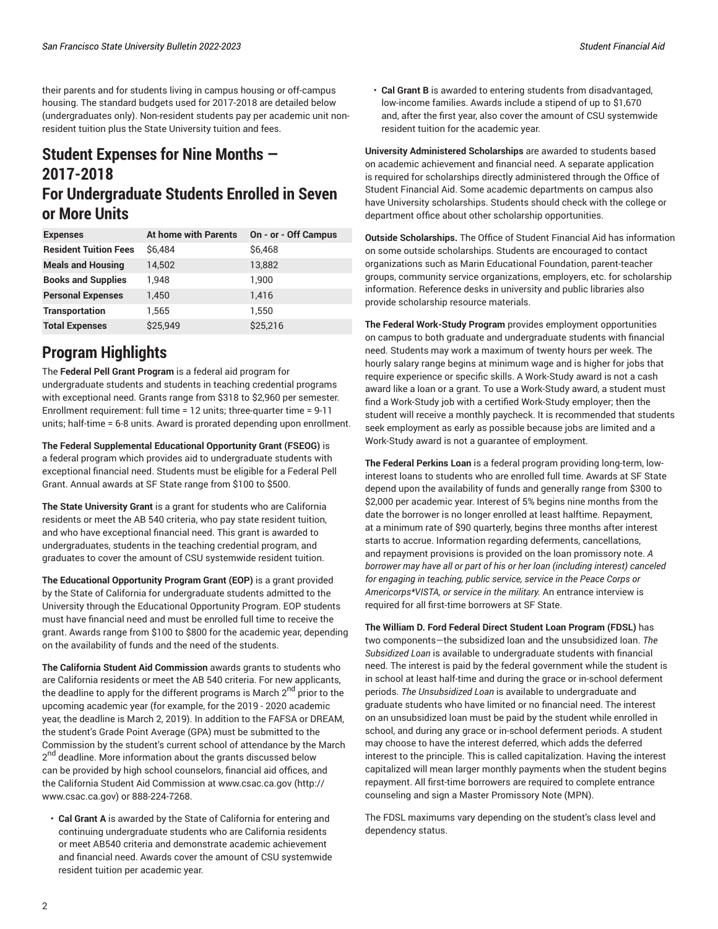their parents and for students living in campus housing or off-campus housing. The standard budgets used for 2017-2018 are detailed below (undergraduates only). Non-resident students pay per academic unit nonresident tuition plus the State University tuition and fees.

## **Student Expenses for Nine Months — 2017-2018 For Undergraduate Students Enrolled in Seven or More Units**

| <b>Expenses</b>              | At home with Parents | On - or - Off Campus |
|------------------------------|----------------------|----------------------|
| <b>Resident Tuition Fees</b> | \$6.484              | \$6,468              |
| <b>Meals and Housing</b>     | 14,502               | 13,882               |
| <b>Books and Supplies</b>    | 1.948                | 1,900                |
| <b>Personal Expenses</b>     | 1.450                | 1.416                |
| <b>Transportation</b>        | 1.565                | 1,550                |
| <b>Total Expenses</b>        | \$25.949             | \$25.216             |

# **Program Highlights**

The **Federal Pell Grant Program** is a federal aid program for undergraduate students and students in teaching credential programs with exceptional need. Grants range from \$318 to \$2,960 per semester. Enrollment requirement: full time = 12 units; three-quarter time = 9-11 units; half-time = 6-8 units. Award is prorated depending upon enrollment.

**The Federal Supplemental Educational Opportunity Grant (FSEOG)** is a federal program which provides aid to undergraduate students with exceptional financial need. Students must be eligible for a Federal Pell Grant. Annual awards at SF State range from \$100 to \$500.

**The State University Grant** is a grant for students who are California residents or meet the AB 540 criteria, who pay state resident tuition, and who have exceptional financial need. This grant is awarded to undergraduates, students in the teaching credential program, and graduates to cover the amount of CSU systemwide resident tuition.

**The Educational Opportunity Program Grant (EOP)** is a grant provided by the State of California for undergraduate students admitted to the University through the Educational Opportunity Program. EOP students must have financial need and must be enrolled full time to receive the grant. Awards range from \$100 to \$800 for the academic year, depending on the availability of funds and the need of the students.

**The California Student Aid Commission** awards grants to students who are California residents or meet the AB 540 criteria. For new applicants, the deadline to apply for the different programs is March 2<sup>nd</sup> prior to the upcoming academic year (for example, for the 2019 - 2020 academic year, the deadline is March 2, 2019). In addition to the FAFSA or DREAM, the student's Grade Point Average (GPA) must be submitted to the Commission by the student's current school of attendance by the March 2<sup>nd</sup> deadline. More information about the grants discussed below can be provided by high school counselors, financial aid offices, and the California Student Aid Commission at [www.csac.ca.gov](http://www.csac.ca.gov) ([http://](http://www.csac.ca.gov) [www.csac.ca.gov\)](http://www.csac.ca.gov) or 888-224-7268.

• **Cal Grant A** is awarded by the State of California for entering and continuing undergraduate students who are California residents or meet AB540 criteria and demonstrate academic achievement and financial need. Awards cover the amount of CSU systemwide resident tuition per academic year.

• **Cal Grant B** is awarded to entering students from disadvantaged, low-income families. Awards include a stipend of up to \$1,670 and, after the first year, also cover the amount of CSU systemwide resident tuition for the academic year.

**University Administered Scholarships** are awarded to students based on academic achievement and financial need. A separate application is required for scholarships directly administered through the Office of Student Financial Aid. Some academic departments on campus also have University scholarships. Students should check with the college or department office about other scholarship opportunities.

**Outside Scholarships.** The Office of Student Financial Aid has information on some outside scholarships. Students are encouraged to contact organizations such as Marin Educational Foundation, parent-teacher groups, community service organizations, employers, etc. for scholarship information. Reference desks in university and public libraries also provide scholarship resource materials.

**The Federal Work-Study Program** provides employment opportunities on campus to both graduate and undergraduate students with financial need. Students may work a maximum of twenty hours per week. The hourly salary range begins at minimum wage and is higher for jobs that require experience or specific skills. A Work-Study award is not a cash award like a loan or a grant. To use a Work-Study award, a student must find a Work-Study job with a certified Work-Study employer; then the student will receive a monthly paycheck. It is recommended that students seek employment as early as possible because jobs are limited and a Work-Study award is not a guarantee of employment.

**The Federal Perkins Loan** is a federal program providing long-term, lowinterest loans to students who are enrolled full time. Awards at SF State depend upon the availability of funds and generally range from \$300 to \$2,000 per academic year. Interest of 5% begins nine months from the date the borrower is no longer enrolled at least halftime. Repayment, at a minimum rate of \$90 quarterly, begins three months after interest starts to accrue. Information regarding deferments, cancellations, and repayment provisions is provided on the loan promissory note. *A borrower may have all or part of his or her loan (including interest) canceled for engaging in teaching, public service, service in the Peace Corps or Americorps\*VISTA, or service in the military.* An entrance interview is required for all first-time borrowers at SF State.

**The William D. Ford Federal Direct Student Loan Program (FDSL)** has two components—the subsidized loan and the unsubsidized loan. *The Subsidized Loan* is available to undergraduate students with financial need. The interest is paid by the federal government while the student is in school at least half-time and during the grace or in-school deferment periods. *The Unsubsidized Loan* is available to undergraduate and graduate students who have limited or no financial need. The interest on an unsubsidized loan must be paid by the student while enrolled in school, and during any grace or in-school deferment periods. A student may choose to have the interest deferred, which adds the deferred interest to the principle. This is called capitalization. Having the interest capitalized will mean larger monthly payments when the student begins repayment. All first-time borrowers are required to complete entrance counseling and sign a Master Promissory Note (MPN).

The FDSL maximums vary depending on the student's class level and dependency status.